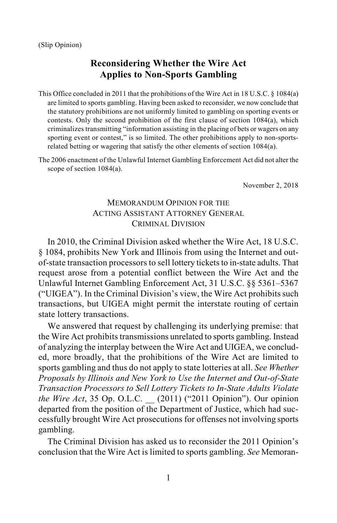# **Reconsidering Whether the Wire Act Applies to Non-Sports Gambling**

This Office concluded in 2011 that the prohibitions of the Wire Act in 18 U.S.C. § 1084(a) are limited to sports gambling. Having been asked to reconsider, we now conclude that the statutory prohibitions are not uniformly limited to gambling on sporting events or contests. Only the second prohibition of the first clause of section 1084(a), which criminalizes transmitting "information assisting in the placing of bets or wagers on any sporting event or contest," is so limited. The other prohibitions apply to non-sportsrelated betting or wagering that satisfy the other elements of section 1084(a).

The 2006 enactment of the Unlawful Internet Gambling Enforcement Act did not alter the scope of section 1084(a).

November 2, 2018

## MEMORANDUM OPINION FOR THE ACTING ASSISTANT ATTORNEY GENERAL CRIMINAL DIVISION

In 2010, the Criminal Division asked whether the Wire Act, 18 U.S.C. § 1084, prohibits New York and Illinois from using the Internet and outof-state transaction processors to sell lottery tickets to in-state adults. That request arose from a potential conflict between the Wire Act and the Unlawful Internet Gambling Enforcement Act, 31 U.S.C. §§ 5361–5367 ("UIGEA"). In the Criminal Division's view, the Wire Act prohibits such transactions, but UIGEA might permit the interstate routing of certain state lottery transactions.

We answered that request by challenging its underlying premise: that the Wire Act prohibits transmissions unrelated to sports gambling. Instead of analyzing the interplay between the Wire Act and UIGEA, we concluded, more broadly, that the prohibitions of the Wire Act are limited to sports gambling and thus do not apply to state lotteries at all. *See Whether Proposals by Illinois and New York to Use the Internet and Out-of-State Transaction Processors to Sell Lottery Tickets to In-State Adults Violate the Wire Act*, 35 Op. O.L.C. \_\_ (2011) ("2011 Opinion"). Our opinion departed from the position of the Department of Justice, which had successfully brought Wire Act prosecutions for offenses not involving sports gambling.

The Criminal Division has asked us to reconsider the 2011 Opinion's conclusion that the Wire Act is limited to sports gambling. *See* Memoran-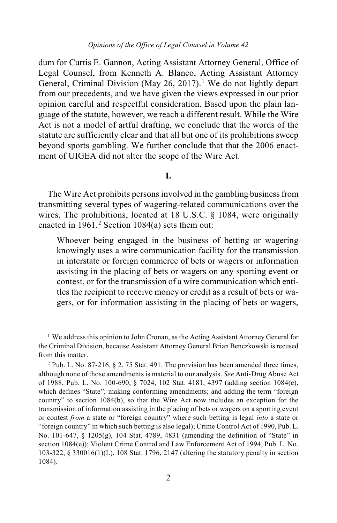dum for Curtis E. Gannon, Acting Assistant Attorney General, Office of Legal Counsel, from Kenneth A. Blanco, Acting Assistant Attorney General, Criminal Division (May 26, 20[1](#page-1-0)7).<sup>1</sup> We do not lightly depart from our precedents, and we have given the views expressed in our prior opinion careful and respectful consideration. Based upon the plain language of the statute, however, we reach a different result. While the Wire Act is not a model of artful drafting, we conclude that the words of the statute are sufficiently clear and that all but one of its prohibitions sweep beyond sports gambling. We further conclude that that the 2006 enactment of UIGEA did not alter the scope of the Wire Act.

#### **I.**

The Wire Act prohibits persons involved in the gambling business from transmitting several types of wagering-related communications over the wires. The prohibitions, located at 18 U.S.C. § 1084, were originally enacted in 1961.<sup>[2](#page-1-1)</sup> Section 1084(a) sets them out:

Whoever being engaged in the business of betting or wagering knowingly uses a wire communication facility for the transmission in interstate or foreign commerce of bets or wagers or information assisting in the placing of bets or wagers on any sporting event or contest, or for the transmission of a wire communication which entitles the recipient to receive money or credit as a result of bets or wagers, or for information assisting in the placing of bets or wagers,

<span id="page-1-0"></span><sup>&</sup>lt;sup>1</sup> We address this opinion to John Cronan, as the Acting Assistant Attorney General for the Criminal Division, because Assistant Attorney General Brian Benczkowski is recused from this matter.

<span id="page-1-1"></span> $2$  Pub. L. No. 87-216, § 2, 75 Stat. 491. The provision has been amended three times, although none of those amendments is material to our analysis. *See* Anti-Drug Abuse Act of 1988, Pub. L. No. 100-690, § 7024, 102 Stat. 4181, 4397 (adding section 1084(e), which defines "State"; making conforming amendments; and adding the term "foreign country" to section 1084(b), so that the Wire Act now includes an exception for the transmission of information assisting in the placing of bets or wagers on a sporting event or contest *from* a state or "foreign country" where such betting is legal *into* a state or "foreign country" in which such betting is also legal); Crime Control Act of 1990, Pub. L. No. 101-647, § 1205(g), 104 Stat. 4789, 4831 (amending the definition of "State" in section 1084(e)); Violent Crime Control and Law Enforcement Act of 1994, Pub. L. No. 103-322, § 330016(1)(L), 108 Stat. 1796, 2147 (altering the statutory penalty in section 1084).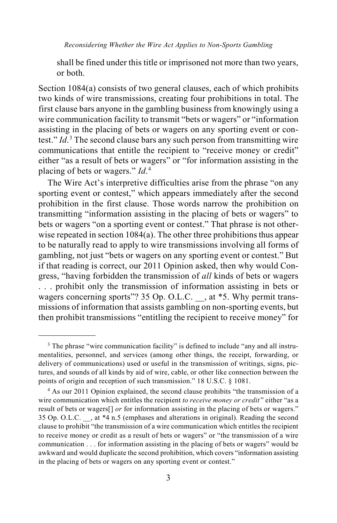*Reconsidering Whether the Wire Act Applies to Non-Sports Gambling*

shall be fined under this title or imprisoned not more than two years, or both.

Section 1084(a) consists of two general clauses, each of which prohibits two kinds of wire transmissions, creating four prohibitions in total. The first clause bars anyone in the gambling business from knowingly using a wire communication facility to transmit "bets or wagers" or "information" assisting in the placing of bets or wagers on any sporting event or contest." *Id*. [3](#page-2-0) The second clause bars any such person from transmitting wire communications that entitle the recipient to "receive money or credit" either "as a result of bets or wagers" or "for information assisting in the placing of bets or wagers." *Id*. [4](#page-2-1)

The Wire Act's interpretive difficulties arise from the phrase "on any sporting event or contest," which appears immediately after the second prohibition in the first clause. Those words narrow the prohibition on transmitting "information assisting in the placing of bets or wagers" to bets or wagers "on a sporting event or contest." That phrase is not otherwise repeated in section 1084(a). The other three prohibitions thus appear to be naturally read to apply to wire transmissions involving all forms of gambling, not just "bets or wagers on any sporting event or contest." But if that reading is correct, our 2011 Opinion asked, then why would Congress, "having forbidden the transmission of *all* kinds of bets or wagers . . . prohibit only the transmission of information assisting in bets or wagers concerning sports"? 35 Op. O.L.C. , at \*5. Why permit transmissions of information that assists gambling on non-sporting events, but then prohibit transmissions "entitling the recipient to receive money" for

<span id="page-2-0"></span><sup>&</sup>lt;sup>3</sup> The phrase "wire communication facility" is defined to include "any and all instrumentalities, personnel, and services (among other things, the receipt, forwarding, or delivery of communications) used or useful in the transmission of writings, signs, pictures, and sounds of all kinds by aid of wire, cable, or other like connection between the points of origin and reception of such transmission." 18 U.S.C. § 1081.

<span id="page-2-1"></span><sup>&</sup>lt;sup>4</sup> As our 2011 Opinion explained, the second clause prohibits "the transmission of a wire communication which entitles the recipient *to receive money or credit* " either "as a result of bets or wagers[] *or* for information assisting in the placing of bets or wagers." 35 Op. O.L.C. \_\_, at \*4 n.5 (emphases and alterations in original). Reading the second clause to prohibit "the transmission of a wire communication which entitles the recipient to receive money or credit as a result of bets or wagers" or "the transmission of a wire communication . . . for information assisting in the placing of bets or wagers" would be awkward and would duplicate the second prohibition, which covers "information assisting in the placing of bets or wagers on any sporting event or contest."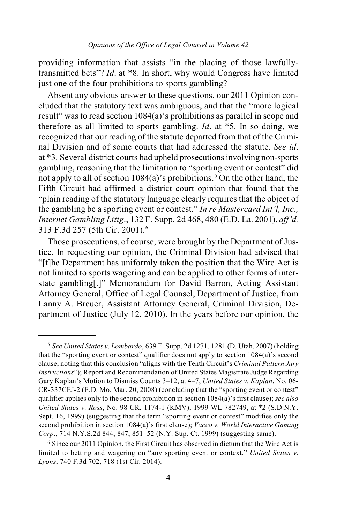providing information that assists "in the placing of those lawfullytransmitted bets"? *Id*. at \*8. In short, why would Congress have limited just one of the four prohibitions to sports gambling?

Absent any obvious answer to these questions, our 2011 Opinion concluded that the statutory text was ambiguous, and that the "more logical result" was to read section 1084(a)'s prohibitions as parallel in scope and therefore as all limited to sports gambling. *Id*. at \*5. In so doing, we recognized that our reading of the statute departed from that of the Criminal Division and of some courts that had addressed the statute. *See id*. at \*3. Several district courts had upheld prosecutions involving non-sports gambling, reasoning that the limitation to "sporting event or contest" did not apply to all of section  $1084(a)$ 's prohibitions.<sup>[5](#page-3-0)</sup> On the other hand, the Fifth Circuit had affirmed a district court opinion that found that the "plain reading of the statutory language clearly requires that the object of the gambling be a sporting event or contest." *In re Mastercard Int'l, Inc*.*, Internet Gambling Litig*., 132 F. Supp. 2d 468, 480 (E.D. La. 2001), *aff'd,* 313 F.3d 257 (5th Cir. 2001).[6](#page-3-1)

Those prosecutions, of course, were brought by the Department of Justice. In requesting our opinion, the Criminal Division had advised that "[t]he Department has uniformly taken the position that the Wire Act is not limited to sports wagering and can be applied to other forms of interstate gambling[.]" Memorandum for David Barron, Acting Assistant Attorney General, Office of Legal Counsel, Department of Justice, from Lanny A. Breuer, Assistant Attorney General, Criminal Division, Department of Justice (July 12, 2010). In the years before our opinion, the

<span id="page-3-0"></span> <sup>5</sup> *See United States v*. *Lombardo*, 639 F. Supp. 2d 1271, 1281 (D. Utah. 2007) (holding that the "sporting event or contest" qualifier does not apply to section 1084(a)'s second clause; noting that this conclusion "aligns with the Tenth Circuit's *Criminal Pattern Jury Instructions*"); Report and Recommendation of United States Magistrate Judge Regarding Gary Kaplan's Motion to Dismiss Counts 3–12, at 4–7, *United States v*. *Kaplan*, No. 06- CR-337CEJ-2 (E.D. Mo. Mar. 20, 2008) (concluding that the "sporting event or contest" qualifier applies only to the second prohibition in section 1084(a)'s first clause); *see also United States v*. *Ross*, No. 98 CR. 1174-1 (KMV), 1999 WL 782749, at \*2 (S.D.N.Y. Sept. 16, 1999) (suggesting that the term "sporting event or contest" modifies only the second prohibition in section 1084(a)'s first clause); *Vacco v*. *World Interactive Gaming Corp*., 714 N.Y.S.2d 844, 847, 851–52 (N.Y. Sup. Ct. 1999) (suggesting same).

<span id="page-3-1"></span><sup>6</sup> Since our 2011 Opinion, the First Circuit has observed in dictum that the Wire Act is limited to betting and wagering on "any sporting event or context." *United States v*. *Lyons*, 740 F.3d 702, 718 (1st Cir. 2014).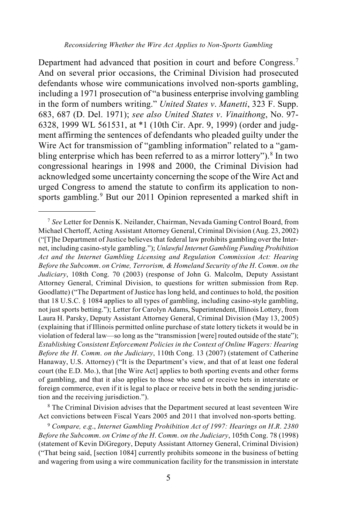Department had advanced that position in court and before Congress.<sup>[7](#page-4-0)</sup> And on several prior occasions, the Criminal Division had prosecuted defendants whose wire communications involved non-sports gambling, including a 1971 prosecution of "a business enterprise involving gambling in the form of numbers writing." *United States v*. *Manetti*, 323 F. Supp. 683, 687 (D. Del. 1971); *see also United States v*. *Vinaithong*, No. 97- 6328, 1999 WL 561531, at \*1 (10th Cir. Apr. 9, 1999) (order and judgment affirming the sentences of defendants who pleaded guilty under the Wire Act for transmission of "gambling information" related to a "gam-bling enterprise which has been referred to as a mirror lottery").<sup>[8](#page-4-1)</sup> In two congressional hearings in 1998 and 2000, the Criminal Division had acknowledged some uncertainty concerning the scope of the Wire Act and urged Congress to amend the statute to confirm its application to non-sports gambling.<sup>[9](#page-4-2)</sup> But our 2011 Opinion represented a marked shift in

<span id="page-4-0"></span> <sup>7</sup> *See* Letter for Dennis K. Neilander, Chairman, Nevada Gaming Control Board, from Michael Chertoff, Acting Assistant Attorney General, Criminal Division (Aug. 23, 2002) ("[T]he Department of Justice believes that federal law prohibits gambling over the Internet, including casino-style gambling."); *Unlawful Internet Gambling Funding Prohibition Act and the Internet Gambling Licensing and Regulation Commission Act: Hearing Before the Subcomm*. *on Crime, Terrorism, & Homeland Security of the H*. *Comm*. *on the Judiciary*, 108th Cong. 70 (2003) (response of John G. Malcolm, Deputy Assistant Attorney General, Criminal Division, to questions for written submission from Rep. Goodlatte) ("The Department of Justice has long held, and continues to hold, the position that 18 U.S.C. § 1084 applies to all types of gambling, including casino-style gambling, not just sports betting."); Letter for Carolyn Adams, Superintendent, Illinois Lottery, from Laura H. Parsky, Deputy Assistant Attorney General, Criminal Division (May 13, 2005) (explaining that if Illinois permitted online purchase of state lottery tickets it would be in violation of federal law—so long as the "transmission [were] routed outside of the state"); *Establishing Consistent Enforcement Policies in the Context of Online Wagers: Hearing Before the H*. *Comm*. *on the Judiciary*, 110th Cong. 13 (2007) (statement of Catherine Hanaway, U.S. Attorney) ("It is the Department's view, and that of at least one federal court (the E.D. Mo.), that [the Wire Act] applies to both sporting events and other forms of gambling, and that it also applies to those who send or receive bets in interstate or foreign commerce, even if it is legal to place or receive bets in both the sending jurisdiction and the receiving jurisdiction.").

<span id="page-4-1"></span><sup>8</sup> The Criminal Division advises that the Department secured at least seventeen Wire Act convictions between Fiscal Years 2005 and 2011 that involved non-sports betting.

<span id="page-4-2"></span><sup>9</sup> *Compare, e*.*g*., *Internet Gambling Prohibition Act of 1997: Hearings on H*.*R*. *2380 Before the Subcomm*. *on Crime of the H*. *Comm*. *on the Judiciary*, 105th Cong. 78 (1998) (statement of Kevin DiGregory, Deputy Assistant Attorney General, Criminal Division) ("That being said, [section 1084] currently prohibits someone in the business of betting and wagering from using a wire communication facility for the transmission in interstate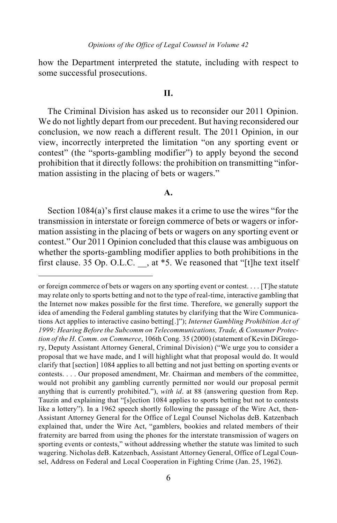how the Department interpreted the statute, including with respect to some successful prosecutions.

#### **II.**

The Criminal Division has asked us to reconsider our 2011 Opinion. We do not lightly depart from our precedent. But having reconsidered our conclusion, we now reach a different result. The 2011 Opinion, in our view, incorrectly interpreted the limitation "on any sporting event or contest" (the "sports-gambling modifier") to apply beyond the second prohibition that it directly follows: the prohibition on transmitting "information assisting in the placing of bets or wagers."

## **A.**

Section 1084(a)'s first clause makes it a crime to use the wires "for the transmission in interstate or foreign commerce of bets or wagers or information assisting in the placing of bets or wagers on any sporting event or contest." Our 2011 Opinion concluded that this clause was ambiguous on whether the sports-gambling modifier applies to both prohibitions in the first clause. 35 Op. O.L.C. \_\_, at \*5. We reasoned that "[t]he text itself

 $\overline{a}$ 

or foreign commerce of bets or wagers on any sporting event or contest. . . . [T]he statute may relate only to sports betting and not to the type of real-time, interactive gambling that the Internet now makes possible for the first time. Therefore, we generally support the idea of amending the Federal gambling statutes by clarifying that the Wire Communications Act applies to interactive casino betting[.]"); *Internet Gambling Prohibition Act of 1999: Hearing Before the Subcomm on Telecommunications, Trade, & Consumer Protection of the H*. *Comm*. *on Commerce*, 106th Cong. 35 (2000) (statement of Kevin DiGregory, Deputy Assistant Attorney General, Criminal Division) ("We urge you to consider a proposal that we have made, and I will highlight what that proposal would do. It would clarify that [section] 1084 applies to all betting and not just betting on sporting events or contests. . . . Our proposed amendment, Mr. Chairman and members of the committee, would not prohibit any gambling currently permitted nor would our proposal permit anything that is currently prohibited."), *with id*. at 88 (answering question from Rep. Tauzin and explaining that "[s]ection 1084 applies to sports betting but not to contests like a lottery"). In a 1962 speech shortly following the passage of the Wire Act, then-Assistant Attorney General for the Office of Legal Counsel Nicholas deB. Katzenbach explained that, under the Wire Act, "gamblers, bookies and related members of their fraternity are barred from using the phones for the interstate transmission of wagers on sporting events or contests," without addressing whether the statute was limited to such wagering. Nicholas deB. Katzenbach, Assistant Attorney General, Office of Legal Counsel, Address on Federal and Local Cooperation in Fighting Crime (Jan. 25, 1962).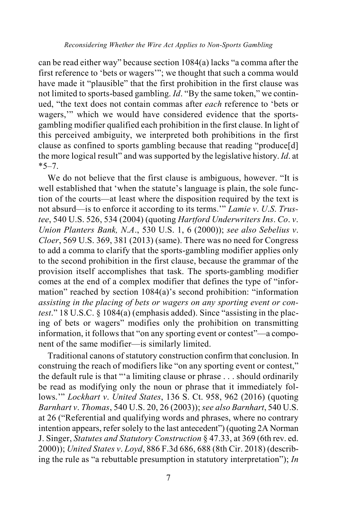can be read either way" because section 1084(a) lacks "a comma after the first reference to 'bets or wagers'"; we thought that such a comma would have made it "plausible" that the first prohibition in the first clause was not limited to sports-based gambling. *Id*. "By the same token," we continued, "the text does not contain commas after *each* reference to 'bets or wagers," which we would have considered evidence that the sportsgambling modifier qualified each prohibition in the first clause. In light of this perceived ambiguity, we interpreted both prohibitions in the first clause as confined to sports gambling because that reading "produce[d] the more logical result" and was supported by the legislative history. *Id*. at  $*5–7.$ 

We do not believe that the first clause is ambiguous, however. "It is well established that 'when the statute's language is plain, the sole function of the courts—at least where the disposition required by the text is not absurd—is to enforce it according to its terms.'" *Lamie v*. *U*.*S*. *Trustee*, 540 U.S. 526, 534 (2004) (quoting *Hartford Underwriters Ins*. *Co*. *v*. *Union Planters Bank, N*.*A*., 530 U.S. 1, 6 (2000)); *see also Sebelius v*. *Cloer*, 569 U.S. 369, 381 (2013) (same). There was no need for Congress to add a comma to clarify that the sports-gambling modifier applies only to the second prohibition in the first clause, because the grammar of the provision itself accomplishes that task. The sports-gambling modifier comes at the end of a complex modifier that defines the type of "information" reached by section 1084(a)'s second prohibition: "information *assisting in the placing of bets or wagers on any sporting event or contest*." 18 U.S.C. § 1084(a) (emphasis added). Since "assisting in the placing of bets or wagers" modifies only the prohibition on transmitting information, it follows that "on any sporting event or contest"—a component of the same modifier—is similarly limited.

Traditional canons of statutory construction confirm that conclusion. In construing the reach of modifiers like "on any sporting event or contest," the default rule is that "'a limiting clause or phrase . . . should ordinarily be read as modifying only the noun or phrase that it immediately follows.'" *Lockhart v*. *United States*, 136 S. Ct. 958, 962 (2016) (quoting *Barnhart v*. *Thomas*, 540 U.S. 20, 26 (2003)); *see also Barnhart*, 540 U.S. at 26 ("Referential and qualifying words and phrases, where no contrary intention appears, refer solely to the last antecedent") (quoting 2A Norman J. Singer, *Statutes and Statutory Construction* § 47.33, at 369 (6th rev. ed. 2000)); *United States v*. *Loyd*, 886 F.3d 686, 688 (8th Cir. 2018) (describing the rule as "a rebuttable presumption in statutory interpretation"); *In*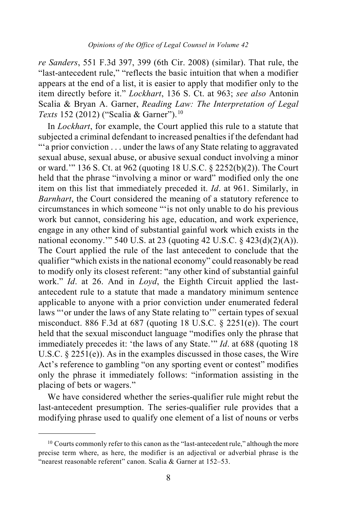*re Sanders*, 551 F.3d 397, 399 (6th Cir. 2008) (similar). That rule, the "last-antecedent rule," "reflects the basic intuition that when a modifier appears at the end of a list, it is easier to apply that modifier only to the item directly before it." *Lockhart*, 136 S. Ct. at 963; *see also* Antonin Scalia & Bryan A. Garner, *Reading Law: The Interpretation of Legal Texts* 152 (2012) ("Scalia & Garner").<sup>[10](#page-7-0)</sup>

In *Lockhart*, for example, the Court applied this rule to a statute that subjected a criminal defendant to increased penalties if the defendant had "'a prior conviction . . . under the laws of any State relating to aggravated sexual abuse, sexual abuse, or abusive sexual conduct involving a minor or ward.'" 136 S. Ct. at 962 (quoting 18 U.S.C. § 2252(b)(2)). The Court held that the phrase "involving a minor or ward" modified only the one item on this list that immediately preceded it. *Id*. at 961. Similarly, in *Barnhart*, the Court considered the meaning of a statutory reference to circumstances in which someone "'is not only unable to do his previous work but cannot, considering his age, education, and work experience, engage in any other kind of substantial gainful work which exists in the national economy.'" 540 U.S. at 23 (quoting 42 U.S.C. § 423(d)(2)(A)). The Court applied the rule of the last antecedent to conclude that the qualifier "which exists in the national economy" could reasonably be read to modify only its closest referent: "any other kind of substantial gainful work." *Id*. at 26. And in *Loyd*, the Eighth Circuit applied the lastantecedent rule to a statute that made a mandatory minimum sentence applicable to anyone with a prior conviction under enumerated federal laws "'or under the laws of any State relating to'" certain types of sexual misconduct. 886 F.3d at 687 (quoting 18 U.S.C. § 2251(e)). The court held that the sexual misconduct language "modifies only the phrase that immediately precedes it: 'the laws of any State.'" *Id*. at 688 (quoting 18 U.S.C. § 2251(e)). As in the examples discussed in those cases, the Wire Act's reference to gambling "on any sporting event or contest" modifies only the phrase it immediately follows: "information assisting in the placing of bets or wagers."

We have considered whether the series-qualifier rule might rebut the last-antecedent presumption. The series-qualifier rule provides that a modifying phrase used to qualify one element of a list of nouns or verbs

<span id="page-7-0"></span><sup>&</sup>lt;sup>10</sup> Courts commonly refer to this canon as the "last-antecedent rule," although the more precise term where, as here, the modifier is an adjectival or adverbial phrase is the "nearest reasonable referent" canon. Scalia & Garner at 152–53.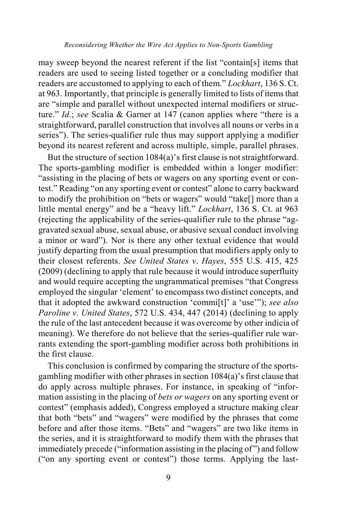may sweep beyond the nearest referent if the list "contain[s] items that readers are used to seeing listed together or a concluding modifier that readers are accustomed to applying to each of them." *Lockhart*, 136 S. Ct. at 963. Importantly, that principle is generally limited to lists of items that are "simple and parallel without unexpected internal modifiers or structure." *Id*.; *see* Scalia & Garner at 147 (canon applies where "there is a straightforward, parallel construction that involves all nouns or verbs in a series"). The series-qualifier rule thus may support applying a modifier beyond its nearest referent and across multiple, simple, parallel phrases.

But the structure of section 1084(a)'s first clause is not straightforward. The sports-gambling modifier is embedded within a longer modifier: "assisting in the placing of bets or wagers on any sporting event or contest." Reading "on any sporting event or contest" alone to carry backward to modify the prohibition on "bets or wagers" would "take[] more than a little mental energy" and be a "heavy lift." *Lockhart*, 136 S. Ct. at 963 (rejecting the applicability of the series-qualifier rule to the phrase "aggravated sexual abuse, sexual abuse, or abusive sexual conduct involving a minor or ward"). Nor is there any other textual evidence that would justify departing from the usual presumption that modifiers apply only to their closest referents. *See United States v*. *Hayes*, 555 U.S. 415, 425 (2009) (declining to apply that rule because it would introduce superfluity and would require accepting the ungrammatical premises "that Congress employed the singular 'element' to encompass two distinct concepts, and that it adopted the awkward construction 'commi[t]' a 'use'"); *see also Paroline v*. *United States*, 572 U.S. 434, 447 (2014) (declining to apply the rule of the last antecedent because it was overcome by other indicia of meaning). We therefore do not believe that the series-qualifier rule warrants extending the sport-gambling modifier across both prohibitions in the first clause.

This conclusion is confirmed by comparing the structure of the sportsgambling modifier with other phrases in section 1084(a)'s first clause that do apply across multiple phrases. For instance, in speaking of "information assisting in the placing of *bets or wagers* on any sporting event or contest" (emphasis added), Congress employed a structure making clear that both "bets" and "wagers" were modified by the phrases that come before and after those items. "Bets" and "wagers" are two like items in the series, and it is straightforward to modify them with the phrases that immediately precede ("information assisting in the placing of") and follow ("on any sporting event or contest") those terms. Applying the last-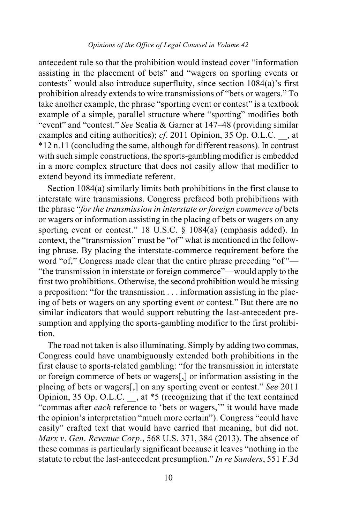antecedent rule so that the prohibition would instead cover "information assisting in the placement of bets" and "wagers on sporting events or contests" would also introduce superfluity, since section 1084(a)'s first prohibition already extends to wire transmissions of "bets or wagers." To take another example, the phrase "sporting event or contest" is a textbook example of a simple, parallel structure where "sporting" modifies both "event" and "contest." *See* Scalia & Garner at 147–48 (providing similar examples and citing authorities); *cf*. 2011 Opinion, 35 Op. O.L.C. \_\_, at \*12 n.11 (concluding the same, although for different reasons). In contrast with such simple constructions, the sports-gambling modifier is embedded in a more complex structure that does not easily allow that modifier to extend beyond its immediate referent.

Section 1084(a) similarly limits both prohibitions in the first clause to interstate wire transmissions. Congress prefaced both prohibitions with the phrase "*for the transmission in interstate or foreign commerce of* bets or wagers or information assisting in the placing of bets or wagers on any sporting event or contest." 18 U.S.C. § 1084(a) (emphasis added). In context, the "transmission" must be "of" what is mentioned in the following phrase. By placing the interstate-commerce requirement before the word "of," Congress made clear that the entire phrase preceding "of"— "the transmission in interstate or foreign commerce"—would apply to the first two prohibitions. Otherwise, the second prohibition would be missing a preposition: "for the transmission . . . information assisting in the placing of bets or wagers on any sporting event or contest." But there are no similar indicators that would support rebutting the last-antecedent presumption and applying the sports-gambling modifier to the first prohibition.

The road not taken is also illuminating. Simply by adding two commas, Congress could have unambiguously extended both prohibitions in the first clause to sports-related gambling: "for the transmission in interstate or foreign commerce of bets or wagers[,] or information assisting in the placing of bets or wagers[,] on any sporting event or contest." *See* 2011 Opinion, 35 Op. O.L.C. \_\_, at \*5 (recognizing that if the text contained "commas after *each* reference to 'bets or wagers,'" it would have made the opinion's interpretation "much more certain"). Congress "could have easily" crafted text that would have carried that meaning, but did not. *Marx v*. *Gen*. *Revenue Corp*., 568 U.S. 371, 384 (2013). The absence of these commas is particularly significant because it leaves "nothing in the statute to rebut the last-antecedent presumption." *In re Sanders*, 551 F.3d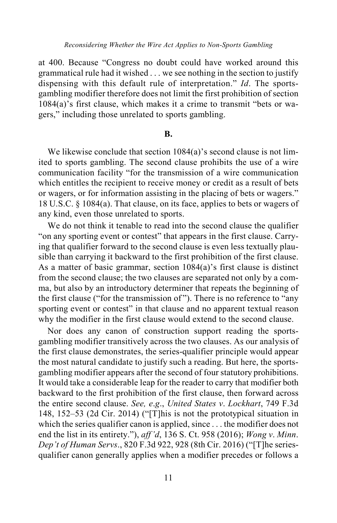at 400. Because "Congress no doubt could have worked around this grammatical rule had it wished . . . we see nothing in the section to justify dispensing with this default rule of interpretation." *Id*. The sportsgambling modifier therefore does not limit the first prohibition of section 1084(a)'s first clause, which makes it a crime to transmit "bets or wagers," including those unrelated to sports gambling.

#### **B.**

We likewise conclude that section 1084(a)'s second clause is not limited to sports gambling. The second clause prohibits the use of a wire communication facility "for the transmission of a wire communication which entitles the recipient to receive money or credit as a result of bets or wagers, or for information assisting in the placing of bets or wagers." 18 U.S.C. § 1084(a). That clause, on its face, applies to bets or wagers of any kind, even those unrelated to sports.

We do not think it tenable to read into the second clause the qualifier "on any sporting event or contest" that appears in the first clause. Carrying that qualifier forward to the second clause is even less textually plausible than carrying it backward to the first prohibition of the first clause. As a matter of basic grammar, section 1084(a)'s first clause is distinct from the second clause; the two clauses are separated not only by a comma, but also by an introductory determiner that repeats the beginning of the first clause ("for the transmission of "). There is no reference to "any sporting event or contest" in that clause and no apparent textual reason why the modifier in the first clause would extend to the second clause.

Nor does any canon of construction support reading the sportsgambling modifier transitively across the two clauses. As our analysis of the first clause demonstrates, the series-qualifier principle would appear the most natural candidate to justify such a reading. But here, the sportsgambling modifier appears after the second of four statutory prohibitions. It would take a considerable leap for the reader to carry that modifier both backward to the first prohibition of the first clause, then forward across the entire second clause. *See, e*.*g*., *United States v*. *Lockhart*, 749 F.3d 148, 152–53 (2d Cir. 2014) ("[T]his is not the prototypical situation in which the series qualifier canon is applied, since . . . the modifier does not end the list in its entirety."), *aff'd*, 136 S. Ct. 958 (2016); *Wong v*. *Minn*. *Dep't of Human Servs*., 820 F.3d 922, 928 (8th Cir. 2016) ("[T]he seriesqualifier canon generally applies when a modifier precedes or follows a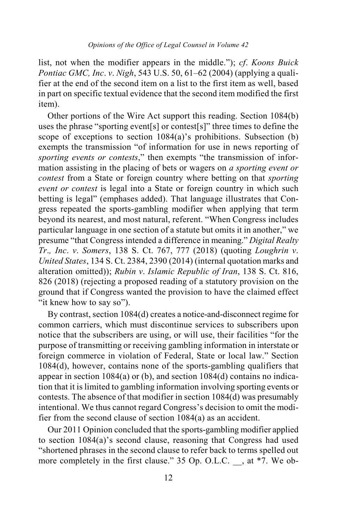list, not when the modifier appears in the middle."); *cf*. *Koons Buick Pontiac GMC, Inc*. *v*. *Nigh*, 543 U.S. 50, 61–62 (2004) (applying a qualifier at the end of the second item on a list to the first item as well, based in part on specific textual evidence that the second item modified the first item).

Other portions of the Wire Act support this reading. Section 1084(b) uses the phrase "sporting event[s] or contest[s]" three times to define the scope of exceptions to section 1084(a)'s prohibitions. Subsection (b) exempts the transmission "of information for use in news reporting of *sporting events or contests*," then exempts "the transmission of information assisting in the placing of bets or wagers on *a sporting event or contest* from a State or foreign country where betting on that *sporting event or contest* is legal into a State or foreign country in which such betting is legal" (emphases added). That language illustrates that Congress repeated the sports-gambling modifier when applying that term beyond its nearest, and most natural, referent. "When Congress includes particular language in one section of a statute but omits it in another," we presume "that Congress intended a difference in meaning." *Digital Realty Tr*.*, Inc*. *v*. *Somers*, 138 S. Ct. 767, 777 (2018) (quoting *Loughrin v*. *United States*, 134 S. Ct. 2384, 2390 (2014) (internal quotation marks and alteration omitted)); *Rubin v*. *Islamic Republic of Iran*, 138 S. Ct. 816, 826 (2018) (rejecting a proposed reading of a statutory provision on the ground that if Congress wanted the provision to have the claimed effect "it knew how to say so").

By contrast, section 1084(d) creates a notice-and-disconnect regime for common carriers, which must discontinue services to subscribers upon notice that the subscribers are using, or will use, their facilities "for the purpose of transmitting or receiving gambling information in interstate or foreign commerce in violation of Federal, State or local law." Section 1084(d), however, contains none of the sports-gambling qualifiers that appear in section 1084(a) or (b), and section 1084(d) contains no indication that it is limited to gambling information involving sporting events or contests. The absence of that modifier in section 1084(d) was presumably intentional. We thus cannot regard Congress's decision to omit the modifier from the second clause of section 1084(a) as an accident.

Our 2011 Opinion concluded that the sports-gambling modifier applied to section 1084(a)'s second clause, reasoning that Congress had used "shortened phrases in the second clause to refer back to terms spelled out more completely in the first clause." 35 Op. O.L.C. , at \*7. We ob-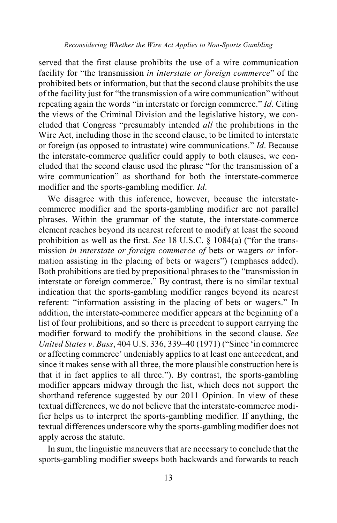served that the first clause prohibits the use of a wire communication facility for "the transmission *in interstate or foreign commerce*" of the prohibited bets or information, but that the second clause prohibits the use of the facility just for "the transmission of a wire communication" without repeating again the words "in interstate or foreign commerce." *Id*. Citing the views of the Criminal Division and the legislative history, we concluded that Congress "presumably intended *all* the prohibitions in the Wire Act, including those in the second clause, to be limited to interstate or foreign (as opposed to intrastate) wire communications." *Id*. Because the interstate-commerce qualifier could apply to both clauses, we concluded that the second clause used the phrase "for the transmission of a wire communication" as shorthand for both the interstate-commerce modifier and the sports-gambling modifier. *Id*.

We disagree with this inference, however, because the interstatecommerce modifier and the sports-gambling modifier are not parallel phrases. Within the grammar of the statute, the interstate-commerce element reaches beyond its nearest referent to modify at least the second prohibition as well as the first. *See* 18 U.S.C. § 1084(a) ("for the transmission *in interstate or foreign commerce of* bets or wagers *or* information assisting in the placing of bets or wagers") (emphases added). Both prohibitions are tied by prepositional phrases to the "transmission in interstate or foreign commerce." By contrast, there is no similar textual indication that the sports-gambling modifier ranges beyond its nearest referent: "information assisting in the placing of bets or wagers." In addition, the interstate-commerce modifier appears at the beginning of a list of four prohibitions, and so there is precedent to support carrying the modifier forward to modify the prohibitions in the second clause. *See United States v*. *Bass*, 404 U.S. 336, 339–40 (1971) ("Since 'in commerce or affecting commerce' undeniably applies to at least one antecedent, and since it makes sense with all three, the more plausible construction here is that it in fact applies to all three."). By contrast, the sports-gambling modifier appears midway through the list, which does not support the shorthand reference suggested by our 2011 Opinion. In view of these textual differences, we do not believe that the interstate-commerce modifier helps us to interpret the sports-gambling modifier. If anything, the textual differences underscore why the sports-gambling modifier does not apply across the statute.

In sum, the linguistic maneuvers that are necessary to conclude that the sports-gambling modifier sweeps both backwards and forwards to reach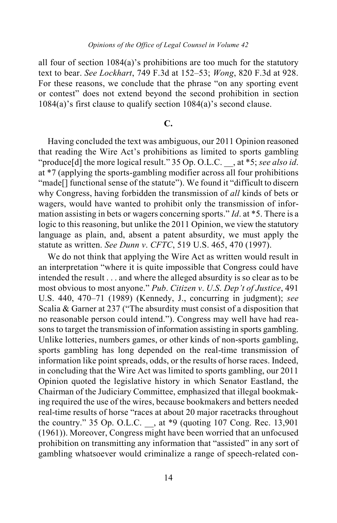all four of section  $1084(a)$ 's prohibitions are too much for the statutory text to bear. *See Lockhart*, 749 F.3d at 152–53; *Wong*, 820 F.3d at 928. For these reasons, we conclude that the phrase "on any sporting event or contest" does not extend beyond the second prohibition in section 1084(a)'s first clause to qualify section 1084(a)'s second clause.

### **C.**

Having concluded the text was ambiguous, our 2011 Opinion reasoned that reading the Wire Act's prohibitions as limited to sports gambling "produce[d] the more logical result." 35 Op. O.L.C. \_\_, at \*5; *see also id*. at \*7 (applying the sports-gambling modifier across all four prohibitions "made[] functional sense of the statute"). We found it "difficult to discern why Congress, having forbidden the transmission of *all* kinds of bets or wagers, would have wanted to prohibit only the transmission of information assisting in bets or wagers concerning sports." *Id*. at \*5. There is a logic to this reasoning, but unlike the 2011 Opinion, we view the statutory language as plain, and, absent a patent absurdity, we must apply the statute as written. *See Dunn v*. *CFTC*, 519 U.S. 465, 470 (1997).

We do not think that applying the Wire Act as written would result in an interpretation "where it is quite impossible that Congress could have intended the result . . . and where the alleged absurdity is so clear as to be most obvious to most anyone." *Pub*. *Citizen v*. *U*.*S*. *Dep't of Justice*, 491 U.S. 440, 470–71 (1989) (Kennedy, J., concurring in judgment); *see*  Scalia & Garner at 237 ("The absurdity must consist of a disposition that no reasonable person could intend."). Congress may well have had reasons to target the transmission of information assisting in sports gambling. Unlike lotteries, numbers games, or other kinds of non-sports gambling, sports gambling has long depended on the real-time transmission of information like point spreads, odds, or the results of horse races. Indeed, in concluding that the Wire Act was limited to sports gambling, our 2011 Opinion quoted the legislative history in which Senator Eastland, the Chairman of the Judiciary Committee, emphasized that illegal bookmaking required the use of the wires, because bookmakers and betters needed real-time results of horse "races at about 20 major racetracks throughout the country." 35 Op. O.L.C.  $\phantom{0}$ , at  $*9$  (quoting 107 Cong. Rec. 13,901) (1961)). Moreover, Congress might have been worried that an unfocused prohibition on transmitting any information that "assisted" in any sort of gambling whatsoever would criminalize a range of speech-related con-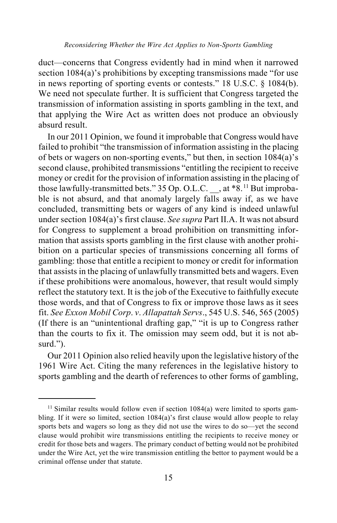duct—concerns that Congress evidently had in mind when it narrowed section 1084(a)'s prohibitions by excepting transmissions made "for use in news reporting of sporting events or contests." 18 U.S.C. § 1084(b). We need not speculate further. It is sufficient that Congress targeted the transmission of information assisting in sports gambling in the text, and that applying the Wire Act as written does not produce an obviously absurd result.

In our 2011 Opinion, we found it improbable that Congress would have failed to prohibit "the transmission of information assisting in the placing of bets or wagers on non-sporting events," but then, in section 1084(a)'s second clause, prohibited transmissions "entitling the recipient to receive money or credit for the provision of information assisting in the placing of those lawfully-transmitted bets." 35 Op. O.L.C. , at \*8.<sup>[11](#page-14-0)</sup> But improbable is not absurd, and that anomaly largely falls away if, as we have concluded, transmitting bets or wagers of any kind is indeed unlawful under section 1084(a)'s first clause. *See supra* Part II.A. It was not absurd for Congress to supplement a broad prohibition on transmitting information that assists sports gambling in the first clause with another prohibition on a particular species of transmissions concerning all forms of gambling: those that entitle a recipient to money or credit for information that assists in the placing of unlawfully transmitted bets and wagers. Even if these prohibitions were anomalous, however, that result would simply reflect the statutory text. It is the job of the Executive to faithfully execute those words, and that of Congress to fix or improve those laws as it sees fit. *See Exxon Mobil Corp*. *v*. *Allapattah Servs*., 545 U.S. 546, 565 (2005) (If there is an "unintentional drafting gap," "it is up to Congress rather than the courts to fix it. The omission may seem odd, but it is not absurd.").

Our 2011 Opinion also relied heavily upon the legislative history of the 1961 Wire Act. Citing the many references in the legislative history to sports gambling and the dearth of references to other forms of gambling,

<span id="page-14-0"></span> $11$  Similar results would follow even if section  $1084(a)$  were limited to sports gambling. If it were so limited, section 1084(a)'s first clause would allow people to relay sports bets and wagers so long as they did not use the wires to do so—yet the second clause would prohibit wire transmissions entitling the recipients to receive money or credit for those bets and wagers. The primary conduct of betting would not be prohibited under the Wire Act, yet the wire transmission entitling the bettor to payment would be a criminal offense under that statute.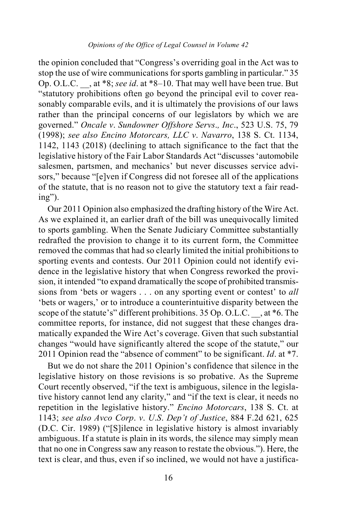the opinion concluded that "Congress's overriding goal in the Act was to stop the use of wire communications for sports gambling in particular." 35 Op. O.L.C. \_\_, at \*8; *see id*. at \*8–10. That may well have been true. But "statutory prohibitions often go beyond the principal evil to cover reasonably comparable evils, and it is ultimately the provisions of our laws rather than the principal concerns of our legislators by which we are governed." *Oncale v*. *Sundowner Offshore Servs*.*, Inc*., 523 U.S. 75, 79 (1998); *see also Encino Motorcars, LLC v*. *Navarro*, 138 S. Ct. 1134, 1142, 1143 (2018) (declining to attach significance to the fact that the legislative history of the Fair Labor Standards Act "discusses 'automobile salesmen, partsmen, and mechanics' but never discusses service advisors," because "[e]ven if Congress did not foresee all of the applications of the statute, that is no reason not to give the statutory text a fair reading").

Our 2011 Opinion also emphasized the drafting history of the Wire Act. As we explained it, an earlier draft of the bill was unequivocally limited to sports gambling. When the Senate Judiciary Committee substantially redrafted the provision to change it to its current form, the Committee removed the commas that had so clearly limited the initial prohibitions to sporting events and contests. Our 2011 Opinion could not identify evidence in the legislative history that when Congress reworked the provision, it intended "to expand dramatically the scope of prohibited transmissions from 'bets or wagers . . . on any sporting event or contest' to *all*  'bets or wagers,' or to introduce a counterintuitive disparity between the scope of the statute's" different prohibitions. 35 Op. O.L.C. \_\_, at \*6. The committee reports, for instance, did not suggest that these changes dramatically expanded the Wire Act's coverage. Given that such substantial changes "would have significantly altered the scope of the statute," our 2011 Opinion read the "absence of comment" to be significant. *Id*. at \*7.

But we do not share the 2011 Opinion's confidence that silence in the legislative history on those revisions is so probative. As the Supreme Court recently observed, "if the text is ambiguous, silence in the legislative history cannot lend any clarity," and "if the text is clear, it needs no repetition in the legislative history." *Encino Motorcars*, 138 S. Ct. at 1143; *see also Avco Corp*. *v*. *U*.*S*. *Dep't of Justice*, 884 F.2d 621, 625 (D.C. Cir. 1989) ("[S]ilence in legislative history is almost invariably ambiguous. If a statute is plain in its words, the silence may simply mean that no one in Congress saw any reason to restate the obvious."). Here, the text is clear, and thus, even if so inclined, we would not have a justifica-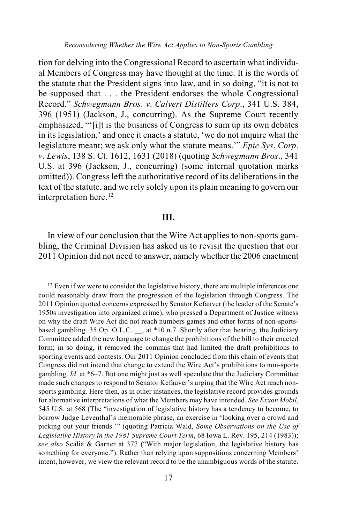tion for delving into the Congressional Record to ascertain what individual Members of Congress may have thought at the time. It is the words of the statute that the President signs into law, and in so doing, "it is not to be supposed that . . . the President endorses the whole Congressional Record." *Schwegmann Bros*. *v*. *Calvert Distillers Corp*., 341 U.S. 384, 396 (1951) (Jackson, J., concurring). As the Supreme Court recently emphasized, "'[i]t is the business of Congress to sum up its own debates in its legislation,' and once it enacts a statute, 'we do not inquire what the legislature meant; we ask only what the statute means.'" *Epic Sys*. *Corp*. *v*. *Lewis*, 138 S. Ct. 1612, 1631 (2018) (quoting *Schwegmann Bros*., 341 U.S. at 396 (Jackson, J., concurring) (some internal quotation marks omitted)). Congress left the authoritative record of its deliberations in the text of the statute, and we rely solely upon its plain meaning to govern our interpretation here.<sup>[12](#page-16-0)</sup>

#### **III.**

In view of our conclusion that the Wire Act applies to non-sports gambling, the Criminal Division has asked us to revisit the question that our 2011 Opinion did not need to answer, namely whether the 2006 enactment

<span id="page-16-0"></span> $12$  Even if we were to consider the legislative history, there are multiple inferences one could reasonably draw from the progression of the legislation through Congress. The 2011 Opinion quoted concerns expressed by Senator Kefauver (the leader of the Senate's 1950s investigation into organized crime), who pressed a Department of Justice witness on why the draft Wire Act did not reach numbers games and other forms of non-sportsbased gambling. 35 Op. O.L.C. , at \*10 n.7. Shortly after that hearing, the Judiciary Committee added the new language to change the prohibitions of the bill to their enacted form; in so doing, it removed the commas that had limited the draft prohibitions to sporting events and contests. Our 2011 Opinion concluded from this chain of events that Congress did not intend that change to extend the Wire Act's prohibitions to non-sports gambling. *Id*. at \*6–7. But one might just as well speculate that the Judiciary Committee made such changes to respond to Senator Kefauver's urging that the Wire Act reach nonsports gambling. Here then, as in other instances, the legislative record provides grounds for alternative interpretations of what the Members may have intended. *See Exxon Mobil*, 545 U.S. at 568 (The "investigation of legislative history has a tendency to become, to borrow Judge Leventhal's memorable phrase, an exercise in 'looking over a crowd and picking out your friends.'" (quoting Patricia Wald, *Some Observations on the Use of Legislative History in the 1981 Supreme Court Term*, 68 Iowa L. Rev. 195, 214 (1983)); *see also* Scalia & Garner at 377 ("With major legislation, the legislative history has something for everyone."). Rather than relying upon suppositions concerning Members' intent, however, we view the relevant record to be the unambiguous words of the statute.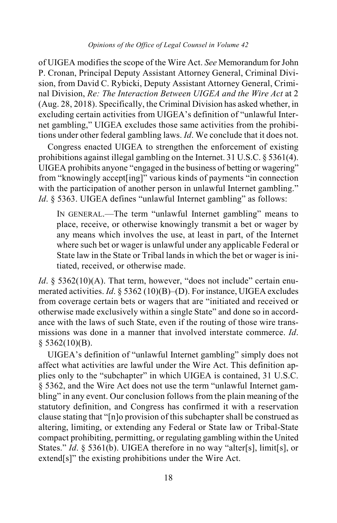of UIGEA modifies the scope of the Wire Act. *See* Memorandum for John P. Cronan, Principal Deputy Assistant Attorney General, Criminal Division, from David C. Rybicki, Deputy Assistant Attorney General, Criminal Division, *Re: The Interaction Between UIGEA and the Wire Act* at 2 (Aug. 28, 2018). Specifically, the Criminal Division has asked whether, in excluding certain activities from UIGEA's definition of "unlawful Internet gambling," UIGEA excludes those same activities from the prohibitions under other federal gambling laws. *Id*. We conclude that it does not.

Congress enacted UIGEA to strengthen the enforcement of existing prohibitions against illegal gambling on the Internet. 31 U.S.C. § 5361(4). UIGEA prohibits anyone "engaged in the business of betting or wagering" from "knowingly accept[ing]" various kinds of payments "in connection with the participation of another person in unlawful Internet gambling." *Id.* § 5363. UIGEA defines "unlawful Internet gambling" as follows:

IN GENERAL.—The term "unlawful Internet gambling" means to place, receive, or otherwise knowingly transmit a bet or wager by any means which involves the use, at least in part, of the Internet where such bet or wager is unlawful under any applicable Federal or State law in the State or Tribal lands in which the bet or wager is initiated, received, or otherwise made.

*Id.* § 5362(10)(A). That term, however, "does not include" certain enumerated activities. *Id*. § 5362 (10)(B)–(D). For instance, UIGEA excludes from coverage certain bets or wagers that are "initiated and received or otherwise made exclusively within a single State" and done so in accordance with the laws of such State, even if the routing of those wire transmissions was done in a manner that involved interstate commerce. *Id*.  $§$  5362(10)(B).

UIGEA's definition of "unlawful Internet gambling" simply does not affect what activities are lawful under the Wire Act. This definition applies only to the "subchapter" in which UIGEA is contained, 31 U.S.C. § 5362, and the Wire Act does not use the term "unlawful Internet gambling" in any event. Our conclusion follows from the plain meaning of the statutory definition, and Congress has confirmed it with a reservation clause stating that "[n]o provision of this subchapter shall be construed as altering, limiting, or extending any Federal or State law or Tribal-State compact prohibiting, permitting, or regulating gambling within the United States." *Id*. § 5361(b). UIGEA therefore in no way "alter[s], limit[s], or extend[s]" the existing prohibitions under the Wire Act.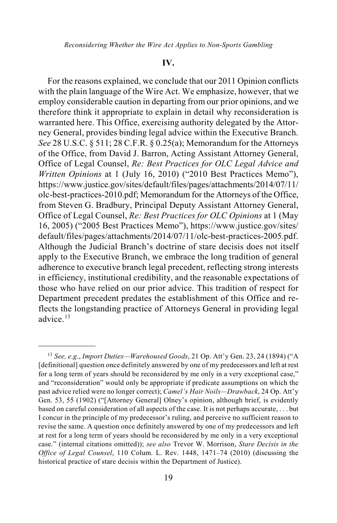### **IV.**

For the reasons explained, we conclude that our 2011 Opinion conflicts with the plain language of the Wire Act. We emphasize, however, that we employ considerable caution in departing from our prior opinions, and we therefore think it appropriate to explain in detail why reconsideration is warranted here. This Office, exercising authority delegated by the Attorney General, provides binding legal advice within the Executive Branch. *See* 28 U.S.C. § 511; 28 C.F.R. § 0.25(a); Memorandum for the Attorneys of the Office, from David J. Barron, Acting Assistant Attorney General, Office of Legal Counsel, *Re: Best Practices for OLC Legal Advice and Written Opinions* at 1 (July 16, 2010) ("2010 Best Practices Memo"), [https://www.justice.gov/sites/default/files/pages/attachments/2014/07/11/](https://www.justice.gov/%E2%80%8Bsites/%E2%80%8Bdefault/%E2%80%8Bfiles/%E2%80%8Bpages/%E2%80%8Battachments/%E2%80%8B2014/%E2%80%8B07/%E2%80%8B11/%E2%80%8Bolc-best-practices-2010.%E2%80%8Bpdf) [olc-best-practices-2010.pdf;](https://www.justice.gov/%E2%80%8Bsites/%E2%80%8Bdefault/%E2%80%8Bfiles/%E2%80%8Bpages/%E2%80%8Battachments/%E2%80%8B2014/%E2%80%8B07/%E2%80%8B11/%E2%80%8Bolc-best-practices-2010.%E2%80%8Bpdf) Memorandum for the Attorneys of the Office, from Steven G. Bradbury, Principal Deputy Assistant Attorney General, Office of Legal Counsel, *Re: Best Practices for OLC Opinions* at 1 (May 16, 2005) ("2005 Best Practices Memo"), https://www.justice.gov/sites/ default/files/pages/attachments/2014/07/11/olc-best-practices-2005.pdf. Although the Judicial Branch's doctrine of stare decisis does not itself apply to the Executive Branch, we embrace the long tradition of general adherence to executive branch legal precedent, reflecting strong interests in efficiency, institutional credibility, and the reasonable expectations of those who have relied on our prior advice. This tradition of respect for Department precedent predates the establishment of this Office and reflects the longstanding practice of Attorneys General in providing legal advice.[13](#page-18-0)

<span id="page-18-0"></span> <sup>13</sup> *See, e*.*g*., *Import Duties—Warehoused Goods*, 21 Op. Att'y Gen. 23, 24 (1894) ("A [definitional] question once definitely answered by one of my predecessors and left at rest for a long term of years should be reconsidered by me only in a very exceptional case," and "reconsideration" would only be appropriate if predicate assumptions on which the past advice relied were no longer correct); *Camel's Hair Noils—Drawback*, 24 Op. Att'y Gen. 53, 55 (1902) ("[Attorney General] Olney's opinion, although brief, is evidently based on careful consideration of all aspects of the case. It is not perhaps accurate, . . . but I concur in the principle of my predecessor's ruling, and perceive no sufficient reason to revise the same. A question once definitely answered by one of my predecessors and left at rest for a long term of years should be reconsidered by me only in a very exceptional case." (internal citations omitted)); *see also* Trevor W. Morrison, *Stare Decisis in the Office of Legal Counsel*, 110 Colum. L. Rev. 1448, 1471–74 (2010) (discussing the historical practice of stare decisis within the Department of Justice).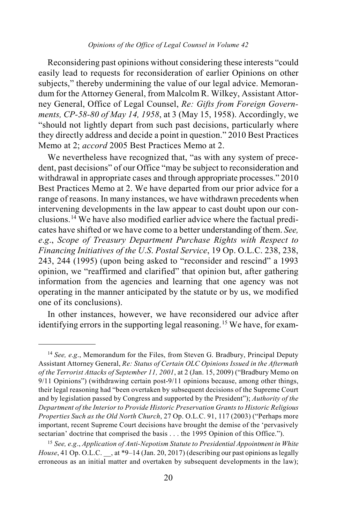#### *Opinions of the Office of Legal Counsel in Volume 42*

Reconsidering past opinions without considering these interests "could easily lead to requests for reconsideration of earlier Opinions on other subjects," thereby undermining the value of our legal advice. Memorandum for the Attorney General, from Malcolm R. Wilkey, Assistant Attorney General, Office of Legal Counsel, *Re: Gifts from Foreign Governments, CP-58-80 of May 14, 1958*, at 3 (May 15, 1958). Accordingly, we "should not lightly depart from such past decisions, particularly where they directly address and decide a point in question." 2010 Best Practices Memo at 2; *accord* 2005 Best Practices Memo at 2.

We nevertheless have recognized that, "as with any system of precedent, past decisions" of our Office "may be subject to reconsideration and withdrawal in appropriate cases and through appropriate processes." 2010 Best Practices Memo at 2. We have departed from our prior advice for a range of reasons. In many instances, we have withdrawn precedents when intervening developments in the law appear to cast doubt upon our conclusions.[14](#page-19-0) We have also modified earlier advice where the factual predicates have shifted or we have come to a better understanding of them. *See, e*.*g*., *Scope of Treasury Department Purchase Rights with Respect to Financing Initiatives of the U*.*S*. *Postal Service*, 19 Op. O.L.C. 238, 238, 243, 244 (1995) (upon being asked to "reconsider and rescind" a 1993 opinion, we "reaffirmed and clarified" that opinion but, after gathering information from the agencies and learning that one agency was not operating in the manner anticipated by the statute or by us, we modified one of its conclusions).

In other instances, however, we have reconsidered our advice after identifying errors in the supporting legal reasoning.<sup>[15](#page-19-1)</sup> We have, for exam-

<span id="page-19-0"></span> <sup>14</sup> *See, e*.*g*., Memorandum for the Files, from Steven G. Bradbury, Principal Deputy Assistant Attorney General, *Re: Status of Certain OLC Opinions Issued in the Aftermath of the Terrorist Attacks of September 11, 2001*, at 2 (Jan. 15, 2009) ("Bradbury Memo on 9/11 Opinions") (withdrawing certain post-9/11 opinions because, among other things, their legal reasoning had "been overtaken by subsequent decisions of the Supreme Court and by legislation passed by Congress and supported by the President"); *Authority of the Department of the Interior to Provide Historic Preservation Grants to Historic Religious Properties Such as the Old North Church*, 27 Op. O.L.C. 91, 117 (2003) ("Perhaps more important, recent Supreme Court decisions have brought the demise of the 'pervasively sectarian' doctrine that comprised the basis . . . the 1995 Opinion of this Office.").

<span id="page-19-1"></span><sup>15</sup> *See, e*.*g*., *Application of Anti-Nepotism Statute to Presidential Appointment in White House*, 41 Op. O.L.C. \_\_, at \*9-14 (Jan. 20, 2017) (describing our past opinions as legally erroneous as an initial matter and overtaken by subsequent developments in the law);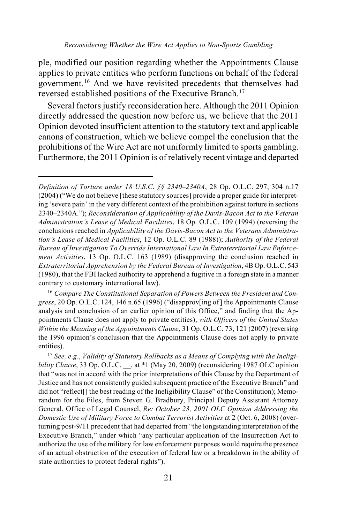ple, modified our position regarding whether the Appointments Clause applies to private entities who perform functions on behalf of the federal government.[16](#page-20-0) And we have revisited precedents that themselves had reversed established positions of the Executive Branch.<sup>[17](#page-20-1)</sup>

Several factors justify reconsideration here. Although the 2011 Opinion directly addressed the question now before us, we believe that the 2011 Opinion devoted insufficient attention to the statutory text and applicable canons of construction, which we believe compel the conclusion that the prohibitions of the Wire Act are not uniformly limited to sports gambling. Furthermore, the 2011 Opinion is of relatively recent vintage and departed

 $\overline{a}$ 

<span id="page-20-0"></span><sup>16</sup> *Compare The Constitutional Separation of Powers Between the President and Congress*, 20 Op. O.L.C. 124, 146 n.65 (1996) ("disapprov[ing of] the Appointments Clause analysis and conclusion of an earlier opinion of this Office," and finding that the Appointments Clause does not apply to private entities), *with Officers of the United States Within the Meaning of the Appointments Clause*, 31 Op. O.L.C. 73, 121 (2007) (reversing the 1996 opinion's conclusion that the Appointments Clause does not apply to private entities).

<span id="page-20-1"></span><sup>17</sup> *See, e*.*g*., *Validity of Statutory Rollbacks as a Means of Complying with the Ineligibility Clause*, 33 Op. O.L.C. \_\_, at \*1 (May 20, 2009) (reconsidering 1987 OLC opinion that "was not in accord with the prior interpretations of this Clause by the Department of Justice and has not consistently guided subsequent practice of the Executive Branch" and did not "reflect[] the best reading of the Ineligibility Clause" of the Constitution); Memorandum for the Files, from Steven G. Bradbury, Principal Deputy Assistant Attorney General, Office of Legal Counsel, *Re: October 23, 2001 OLC Opinion Addressing the Domestic Use of Military Force to Combat Terrorist Activities* at 2 (Oct. 6, 2008) (overturning post-9/11 precedent that had departed from "the longstanding interpretation of the Executive Branch," under which "any particular application of the Insurrection Act to authorize the use of the military for law enforcement purposes would require the presence of an actual obstruction of the execution of federal law or a breakdown in the ability of state authorities to protect federal rights").

*Definition of Torture under 18 U*.*S*.*C*. *§§ 2340–2340A*, 28 Op. O.L.C. 297, 304 n.17 (2004) ("We do not believe [these statutory sources] provide a proper guide for interpreting 'severe pain' in the very different context of the prohibition against torture in sections 2340–2340A."); *Reconsideration of Applicability of the Davis-Bacon Act to the Veteran Administration's Lease of Medical Facilities*, 18 Op. O.L.C. 109 (1994) (reversing the conclusions reached in *Applicability of the Davis-Bacon Act to the Veterans Administration's Lease of Medical Facilities*, 12 Op. O.L.C. 89 (1988)); *Authority of the Federal Bureau of Investigation To Override International Law In Extraterritorial Law Enforcement Activities*, 13 Op. O.L.C. 163 (1989) (disapproving the conclusion reached in *Extraterritorial Apprehension by the Federal Bureau of Investigation*, 4B Op. O.L.C. 543 (1980), that the FBI lacked authority to apprehend a fugitive in a foreign state in a manner contrary to customary international law).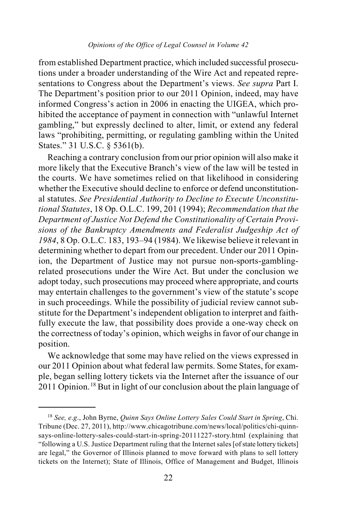from established Department practice, which included successful prosecutions under a broader understanding of the Wire Act and repeated representations to Congress about the Department's views. *See supra* Part I. The Department's position prior to our 2011 Opinion, indeed, may have informed Congress's action in 2006 in enacting the UIGEA, which prohibited the acceptance of payment in connection with "unlawful Internet gambling," but expressly declined to alter, limit, or extend any federal laws "prohibiting, permitting, or regulating gambling within the United States." 31 U.S.C. § 5361(b).

Reaching a contrary conclusion from our prior opinion will also make it more likely that the Executive Branch's view of the law will be tested in the courts. We have sometimes relied on that likelihood in considering whether the Executive should decline to enforce or defend unconstitutional statutes. *See Presidential Authority to Decline to Execute Unconstitutional Statutes*, 18 Op. O.L.C. 199, 201 (1994); *Recommendation that the Department of Justice Not Defend the Constitutionality of Certain Provisions of the Bankruptcy Amendments and Federalist Judgeship Act of 1984*, 8 Op. O.L.C. 183, 193–94 (1984). We likewise believe it relevant in determining whether to depart from our precedent. Under our 2011 Opinion, the Department of Justice may not pursue non-sports-gamblingrelated prosecutions under the Wire Act. But under the conclusion we adopt today, such prosecutions may proceed where appropriate, and courts may entertain challenges to the government's view of the statute's scope in such proceedings. While the possibility of judicial review cannot substitute for the Department's independent obligation to interpret and faithfully execute the law, that possibility does provide a one-way check on the correctness of today's opinion, which weighs in favor of our change in position.

We acknowledge that some may have relied on the views expressed in our 2011 Opinion about what federal law permits. Some States, for example, began selling lottery tickets via the Internet after the issuance of our 2011 Opinion.<sup>[18](#page-21-0)</sup> But in light of our conclusion about the plain language of

<span id="page-21-0"></span> <sup>18</sup> *See, e*.*g*., John Byrne, *Quinn Says Online Lottery Sales Could Start in Spring*, Chi. Tribune (Dec. 27, 2011)[, http://www.chicagotribune.com/news/local/politics/chi-quinn](http://www.chicagotribune.com/%E2%80%8Bnews/%E2%80%8Blocal/%E2%80%8Bpolitics/%E2%80%8Bchi-quinn-says-online-lottery-sales-could-start-in-spring-20111227-story.%E2%80%8Bhtml)[says-online-lottery-sales-could-start-in-spring-20111227-story.html](http://www.chicagotribune.com/%E2%80%8Bnews/%E2%80%8Blocal/%E2%80%8Bpolitics/%E2%80%8Bchi-quinn-says-online-lottery-sales-could-start-in-spring-20111227-story.%E2%80%8Bhtml) (explaining that "following a U.S. Justice Department ruling that the Internet sales [of state lottery tickets] are legal," the Governor of Illinois planned to move forward with plans to sell lottery tickets on the Internet); State of Illinois, Office of Management and Budget, Illinois